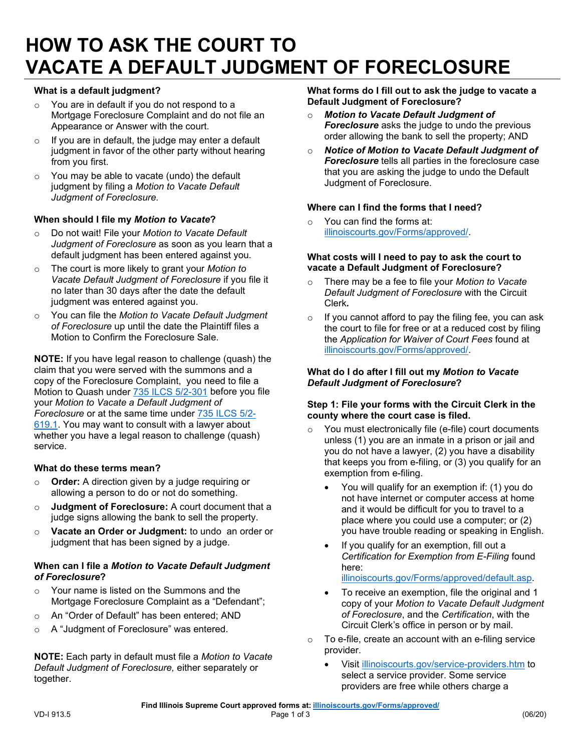# **HOW TO ASK THE COURT TO VACATE A DEFAULT JUDGMENT OF FORECLOSURE**

# **What is a default judgment?**

- $\circ$  You are in default if you do not respond to a Mortgage Foreclosure Complaint and do not file an Appearance or Answer with the court.
- $\circ$  If you are in default, the judge may enter a default judgment in favor of the other party without hearing from you first.
- o You may be able to vacate (undo) the default judgment by filing a *Motion to Vacate Default Judgment of Foreclosure.*

# **When should I file my** *Motion to Vacate***?**

- o Do not wait! File your *Motion to Vacate Default Judgment of Foreclosure* as soon as you learn that a default judgment has been entered against you.
- o The court is more likely to grant your *Motion to Vacate Default Judgment of Foreclosure* if you file it no later than 30 days after the date the default judgment was entered against you.
- o You can file the *Motion to Vacate Default Judgment of Foreclosure* up until the date the Plaintiff files a Motion to Confirm the Foreclosure Sale.

**NOTE:** If you have legal reason to challenge (quash) the claim that you were served with the summons and a copy of the Foreclosure Complaint, you need to file a Motion to Quash under 735 ILCS 5/2-301 before you file your *Motion to Vacate a Default Judgment of Foreclosure* or at the same time under 735 ILCS 5/2- 619.1. You may want to consult with a lawyer about whether you have a legal reason to challenge (quash) service.

# **What do these terms mean?**

- o **Order:** A direction given by a judge requiring or allowing a person to do or not do something.
- o **Judgment of Foreclosure:** A court document that a judge signs allowing the bank to sell the property.
- o **Vacate an Order or Judgment:** to undo an order or judgment that has been signed by a judge.

#### **When can I file a** *Motion to Vacate Default Judgment of Foreclosure***?**

- $\circ$  Your name is listed on the Summons and the Mortgage Foreclosure Complaint as a "Defendant";
- o An "Order of Default" has been entered; AND
- o A "Judgment of Foreclosure" was entered.

 *Default Judgment of Foreclosure,* either separately or **NOTE:** Each party in default must file a *Motion to Vacate*  together.

 **What forms do I fill out to ask the judge to vacate a Default Judgment of Foreclosure?** 

- o *Motion to Vacate Default Judgment of Foreclosure* asks the judge to undo the previous order allowing the bank to sell the property; AND
- o *Notice of Motion to Vacate Default Judgment of Foreclosure* tells all parties in the foreclosure case that you are asking the judge to undo the Default Judgment of Foreclosure.

# **Where can I find the forms that I need?**

o You can find the forms at: illinoiscourts.gov/Forms/approved/.

#### **What costs will I need to pay to ask the court to vacate a Default Judgment of Foreclosure?**

- o There may be a fee to file your *Motion to Vacate Default Judgment of Foreclosure* with the Circuit Clerk*.*
- o If you cannot afford to pay the filing fee, you can ask the court to file for free or at a reduced cost by filing the *Application for Waiver of Court Fees* found at illinoiscourts.gov/Forms/approved/.

#### **What do I do after I fill out my** *Motion to Vacate Default Judgment of Foreclosure***?**

#### **county where the court case is filed. Step 1: File your forms with the Circuit Clerk in the**

- o You must electronically file (e-file) court documents unless (1) you are an inmate in a prison or jail and you do not have a lawyer, (2) you have a disability that keeps you from e-filing, or (3) you qualify for an exemption from e-filing.
	- You will qualify for an exemption if: (1) you do not have internet or computer access at home and it would be difficult for you to travel to a place where you could use a computer; or (2) you have trouble reading or speaking in English.
	- If you qualify for an exemption, fill out a *Certification for Exemption from E-Filing* found here:

illinoiscourts.gov/Forms/approved/default.asp.

- To receive an exemption, file the original and 1 copy of your *Motion to Vacate Default Judgment of Foreclosure*, and the *Certification*, with the Circuit Clerk's office in person or by mail.
- o To e-file, create an account with an e-filing service provider.
	- Visit illinoiscourts.gov/service-providers.htm to select a service provider. Some service providers are free while others charge a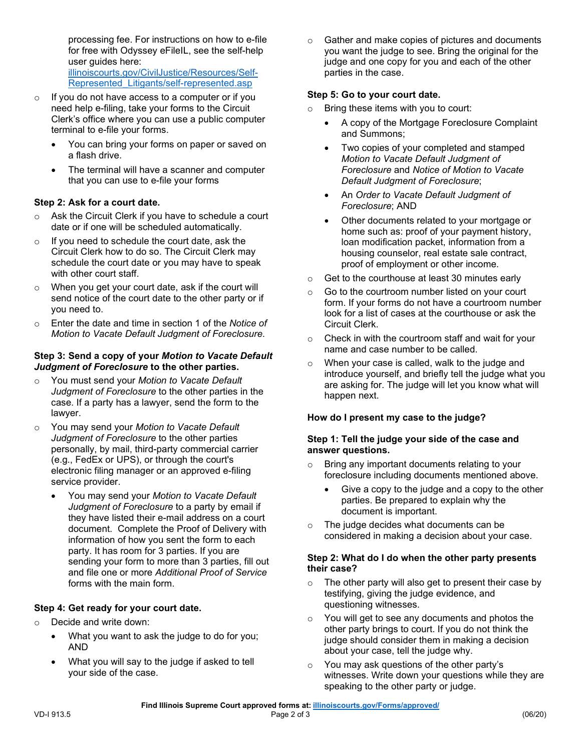processing fee. For instructions on how to e-file for free with Odyssey eFileIL, see the self-help user guides here: illinoiscourts.gov/CivilJustice/Resources/Self-

- Represented\_Litigants/self-represented.asp
- $\circ$  If you do not have access to a computer or if you need help e-filing, take your forms to the Circuit Clerk's office where you can use a public computer terminal to e-file your forms.
	- You can bring your forms on paper or saved on a flash drive.
	- • The terminal will have a scanner and computer that you can use to e-file your forms

# **Step 2: Ask for a court date.**

- o Ask the Circuit Clerk if you have to schedule a court date or if one will be scheduled automatically.
- schedule the court date or you may have to speak  $\circ$  If you need to schedule the court date, ask the Circuit Clerk how to do so. The Circuit Clerk may with other court staff.
- send notice of the court date to the other party or if o When you get your court date, ask if the court will you need to.
- o Enter the date and time in section 1 of the *Notice of Motion to Vacate Default Judgment of Foreclosure*.

#### **Step 3: Send a copy of your** *Motion to Vacate Default Judgment of Foreclosure* **to the other parties.**

- o You must send your *Motion to Vacate Default Judgment of Foreclosure* to the other parties in the case. If a party has a lawyer, send the form to the lawyer.
- o You may send your *Motion to Vacate Default Judgment of Foreclosure* to the other parties personally, by mail, third-party commercial carrier (e.g., FedEx or UPS), or through the court's electronic filing manager or an approved e-filing service provider.
	- *Judgment of Foreclosure* to a party by email if document. Complete the Proof of Delivery with • You may send your *Motion to Vacate Default*  they have listed their e-mail address on a court information of how you sent the form to each party. It has room for 3 parties. If you are sending your form to more than 3 parties, fill out and file one or more *Additional Proof of Service*  forms with the main form.

# **Step 4: Get ready for your court date.**

- o Decide and write down:
	- What you want to ask the judge to do for you; AND
	- What you will say to the judge if asked to tell your side of the case.

o Gather and make copies of pictures and documents you want the judge to see. Bring the original for the judge and one copy for you and each of the other parties in the case.

#### **Step 5: Go to your court date.**

- o Bring these items with you to court:
	- A copy of the Mortgage Foreclosure Complaint and Summons;
	- *Motion to Vacate Default Judgment of*  • Two copies of your completed and stamped *Foreclosure* and *Notice of Motion to Vacate Default Judgment of Foreclosure*;
	- An *Order to Vacate Default Judgment of Foreclosure*; AND
	- • Other documents related to your mortgage or home such as: proof of your payment history, loan modification packet, information from a housing counselor, real estate sale contract, proof of employment or other income.
- o Get to the courthouse at least 30 minutes early
- Circuit Clerk. o Go to the courtroom number listed on your court form. If your forms do not have a courtroom number look for a list of cases at the courthouse or ask the
- $\circ$  Check in with the courtroom staff and wait for your name and case number to be called.
- o When your case is called, walk to the judge and introduce yourself, and briefly tell the judge what you are asking for. The judge will let you know what will happen next.

# **How do I present my case to the judge?**

#### **Step 1: Tell the judge your side of the case and answer questions.**

- o Bring any important documents relating to your foreclosure including documents mentioned above.
	- Give a copy to the judge and a copy to the other parties. Be prepared to explain why the document is important.
- considered in making a decision about your case. o The judge decides what documents can be

#### **Step 2: What do I do when the other party presents their case?**

- o The other party will also get to present their case by testifying, giving the judge evidence, and questioning witnesses.
- $\circ$ You will get to see any documents and photos the other party brings to court. If you do not think the judge should consider them in making a decision about your case, tell the judge why.
- o You may ask questions of the other party's witnesses. Write down your questions while they are speaking to the other party or judge.